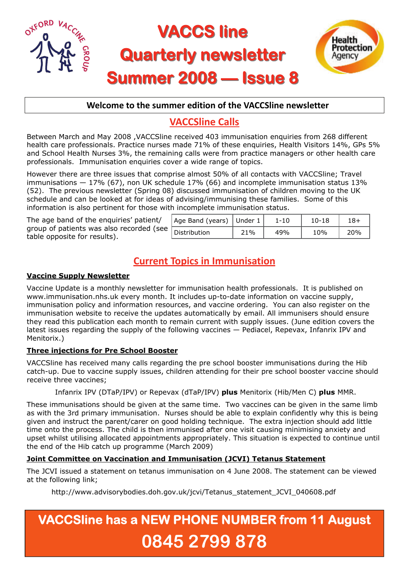

## **Welcome to the summer edition of the VACCSline newsletter**

# **VACCSline Calls**

Between March and May 2008 ,VACCSline received 403 immunisation enquiries from 268 different health care professionals. Practice nurses made 71% of these enquiries, Health Visitors 14%, GPs 5% and School Health Nurses 3%, the remaining calls were from practice managers or other health care professionals. Immunisation enquiries cover a wide range of topics.

However there are three issues that comprise almost 50% of all contacts with VACCSline; Travel immunisations  $-17\%$  (67), non UK schedule 17% (66) and incomplete immunisation status 13% (52). The previous newsletter (Spring 08) discussed immunisation of children moving to the UK schedule and can be looked at for ideas of advising/immunising these families. Some of this information is also pertinent for those with incomplete immunisation status.

The age band of the enquiries' patient/ group of patients was also recorded (see table opposite for results).

| Age Band (years) Under $1^+$ |     | 1-10 | $10 - 18$ | 18+ |
|------------------------------|-----|------|-----------|-----|
| Distribution                 | 21% | 49%  | 10%       | 20% |

# **Current Topics in Immunisation**

#### **Vaccine Supply Newsletter**

Vaccine Update is a monthly newsletter for immunisation health professionals. It is published on www.immunisation.nhs.uk every month. It includes up-to-date information on vaccine supply, immunisation policy and information resources, and vaccine ordering. You can also register on the immunisation website to receive the updates automatically by email. All immunisers should ensure they read this publication each month to remain current with supply issues. (June edition covers the latest issues regarding the supply of the following vaccines — Pediacel, Repevax, Infanrix IPV and Menitorix.)

### **Three injections for Pre School Booster**

VACCSline has received many calls regarding the pre school booster immunisations during the Hib catch-up. Due to vaccine supply issues, children attending for their pre school booster vaccine should receive three vaccines;

Infanrix IPV (DTaP/IPV) or Repevax (dTaP/IPV) **plus** Menitorix (Hib/Men C) **plus** MMR.

These immunisations should be given at the same time. Two vaccines can be given in the same limb as with the 3rd primary immunisation. Nurses should be able to explain confidently why this is being given and instruct the parent/carer on good holding technique. The extra injection should add little time onto the process. The child is then immunised after one visit causing minimising anxiety and upset whilst utilising allocated appointments appropriately. This situation is expected to continue until the end of the Hib catch up programme (March 2009)

### **Joint Committee on Vaccination and Immunisation (JCVI) Tetanus Statement**

The JCVI issued a statement on tetanus immunisation on 4 June 2008. The statement can be viewed at the following link;

http://www.advisorybodies.doh.gov.uk/jcvi/Tetanus\_statement\_JCVI\_040608.pdf

# **VACCSline has a NEW PHONE NUMBER from 11 August 0845 2799 878**